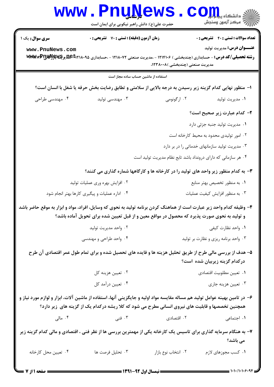|                                                                                                                                                      | <b>www.Pnunews</b><br>حضرت علی(ع): دانش راهبر نیکویی برای ایمان است                                      |                                                                | COIL S<br>أآ مرکز آزمون وسنجش                  |  |
|------------------------------------------------------------------------------------------------------------------------------------------------------|----------------------------------------------------------------------------------------------------------|----------------------------------------------------------------|------------------------------------------------|--|
| <b>سری سوال:</b> یک ۱                                                                                                                                | زمان آزمون (دقیقه) : تستی : 70 گشریحی : 0                                                                |                                                                | <b>تعداد سوالات : تستي : 40 ٪ تشريحي : 0</b>   |  |
| www.PnuNews.com<br><b>رشته تحصیلی/کد درس:</b> - حسابداری (چندبخشی ) ۱۲۱۴۱۰۶ - ،مدیریت صنعتی ۱۲۱۸۰۷۲ - ،حسابداری AREb۲۱۸۰۹۵ و <b>WWWWPINE</b> و MWWWP |                                                                                                          | مدیریت صنعتی (چندبخشی )۲۳۸۰۰۸،                                 | <b>عنـــوان درس:</b> مديريت توليد              |  |
|                                                                                                                                                      | استفاده از ماشین حساب ساده مجاز است                                                                      |                                                                |                                                |  |
|                                                                                                                                                      | ا- منظور نهایی کدام گزینه زیر رسیدن به درجه بالایی از سلامتی و تطابق رضایت بخش حرفه یا شغل با انسان است؟ |                                                                |                                                |  |
| ۰۴ مهندسی طراحی                                                                                                                                      | ۰۳ مهندسی تولید                                                                                          | ۰۲ ارگونومی                                                    | ۰۱ مدیریت تولید                                |  |
|                                                                                                                                                      |                                                                                                          |                                                                | ۲- کدام عبارت زیر صحیح است؟                    |  |
|                                                                                                                                                      |                                                                                                          |                                                                | ۰۱ مدیریت تولید جنبه جزئی دارد                 |  |
|                                                                                                                                                      |                                                                                                          |                                                                | ۰۲ امور تولیدی محدود به محیط کارخانه است       |  |
|                                                                                                                                                      |                                                                                                          |                                                                | ۰۳ مدیریت تولید سازمانهای خدماتی را در بر دارد |  |
|                                                                                                                                                      |                                                                                                          | ۰۴ هر سازمانی که دارای درونداد باشد تابع نظام مدیریت تولید است |                                                |  |
|                                                                                                                                                      | ۳- به کدام منظور زیر واحد های تولید را در کارخانه ها و کارگاهها شماره گذاری می کنند؟                     |                                                                |                                                |  |
|                                                                                                                                                      | ۰۲ افزایش بهره وری عملیات تولید                                                                          |                                                                | ۰۱ به منظور تخصیص بهتر منابع                   |  |
|                                                                                                                                                      | ۰۴ اداره عملیات و پیگیری کارها بهتر انجام شود                                                            | ۰۳ به منظور افزایش کیفیت عملیات                                |                                                |  |
| ۴- وظیفه کدام واحد زیر عبارت است از هماهنگ کردن برنامه تولید به نحوی که وسایل، افراد، مواد و ابزار به موقع حاضر باشد                                 | و تولید به نحوی صورت پذیرد که محصول در مواقع معین و از قبل تعیین شده برای تحویل آماده باشد؟              |                                                                |                                                |  |
|                                                                                                                                                      | ۰۲ واحد مديريت توليد                                                                                     |                                                                | ٠١. واحد نظارت كيفي                            |  |
|                                                                                                                                                      | ۰۴ واحد طراحی و مهندسی                                                                                   | ۰۳ واحد برنامه ریزی و نظارت بر تولید                           |                                                |  |
|                                                                                                                                                      | ۵– هدف از بررسی مالی طرح از طریق تحلیل هزینه ها و فایده های تحصیل شده و برای تمام طول عمر اقتصادی آن طرح |                                                                | درکدام گزینه زیربیان شده است؟                  |  |
|                                                                                                                                                      | ۰۲ تعیین هزینه کل                                                                                        |                                                                | ٠١ تعيين مطلوبيت اقتصادي                       |  |
|                                                                                                                                                      | ۰۴ تعيين درأمد كل                                                                                        |                                                                | ۰۳ تعیین هزینه جاری                            |  |
| ۶– در تامین بهینه عوامل تولید هم مساله مقایسه مواد اولیه و جایگزینی آنها، استفاده از ماشین آلات، ابزار و لوازم مورد نیاز و                           | همچنین تخصصها و قابلیت های نیروی انسانی مطرح می شود که کلا ریشه درکدام یک از گزینه های زیر دارد؟         |                                                                |                                                |  |
| ۰۴ مالی                                                                                                                                              | ۰۳ فنی                                                                                                   | ۰۲ اقتصادی                                                     | ٠١. اجتماعي                                    |  |
| ۷- به هنگام سرمایه گذاری برای تاسیس یک کارخانه یکی از مهمترین بررسی ها از نظر فنی ، اقتصادی و مالی کدام گزینه زیر                                    |                                                                                                          |                                                                | می باشد؟                                       |  |
| ۰۴ تعيين محل كارخانه                                                                                                                                 | ۰۳ تحليل فرصت ها                                                                                         | ۰۲ انتخاب نوع بازار                                            | ٠١ كسب مجوزهاى لازم                            |  |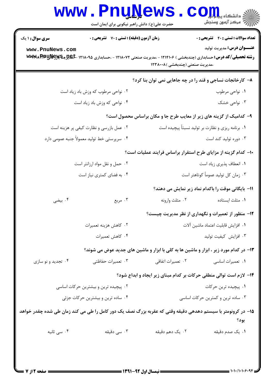|                                                                                                                                                                                            | <b>www.PnuNews</b><br>حضرت علی(ع): دانش راهبر نیکویی برای ایمان است                                         |                                                                                       | الاد دانشگاه پي <mark>ام</mark> لو <mark>ر</mark><br>   > مرکز آزمون وسنجش |  |
|--------------------------------------------------------------------------------------------------------------------------------------------------------------------------------------------|-------------------------------------------------------------------------------------------------------------|---------------------------------------------------------------------------------------|----------------------------------------------------------------------------|--|
| <b>سری سوال : ۱ یک</b>                                                                                                                                                                     | زمان آزمون (دقیقه) : تستی : 70 گشریحی : 0                                                                   |                                                                                       | <b>تعداد سوالات : تستی : 40 قشریحی : 0</b>                                 |  |
| www.PnuNews.com<br><b>رشته تحصیلی/کد درس:</b> حسابداری (چندبخشی ) ۱۲۱۴۱۰۶ - ،مدیریت صنعتی ۱۲۱۸۰۷۲ - ،حسابداری ۱۲۱۸۰۹۵ <b>-ABC مخیر وظهلیا www.ARA</b> y<br>،مدیریت صنعتی (چندبخشی )۱۲۳۸۰۰۸ |                                                                                                             |                                                                                       | <b>عنـــوان درس:</b> مديريت توليد                                          |  |
|                                                                                                                                                                                            |                                                                                                             | ۸– کارخانجات نساجی و قند را در چه جاهایی نمی توان بنا کرد؟                            |                                                                            |  |
|                                                                                                                                                                                            | ۰۲ نواحی مرطوب که وزش باد زیاد است                                                                          |                                                                                       | ۰۱ نواحی مرطوب                                                             |  |
|                                                                                                                                                                                            | ۰۴ نواحی که وزش باد زیاد است                                                                                |                                                                                       | ۰۳ نواحی خشک                                                               |  |
|                                                                                                                                                                                            |                                                                                                             | ۹- کدامیک از گزینه های زیر از معایب طرح جا و مکان براساس محصول است؟                   |                                                                            |  |
|                                                                                                                                                                                            | ۰۲ عمل بازرسی و نظارت کیفی پر هزینه است                                                                     | ۰۱ برنامه ریزی و نظارت بر تولید نسبتاً پیچیده است                                     |                                                                            |  |
|                                                                                                                                                                                            | ۰۴ سرپرستی خط تولید معمولاً جنبه عمومی دارد                                                                 | ۰۳ دوره تولید کند است                                                                 |                                                                            |  |
|                                                                                                                                                                                            |                                                                                                             | ۱۰– کدام گزینه از مزایای طرح استقرار براساس فرایند عملیات است؟                        |                                                                            |  |
|                                                                                                                                                                                            | ۰۲ حمل و نقل مواد ارزانتر است                                                                               | ٠١ انعطاف پذيري زياد است                                                              |                                                                            |  |
|                                                                                                                                                                                            | ۰۴ به فضای کمتری نیاز است                                                                                   | ۰۳ زمان کل تولید عموماً کوتاهتر است                                                   |                                                                            |  |
|                                                                                                                                                                                            |                                                                                                             |                                                                                       | 11- بایگانی موقت را باکدام نماد زیر نمایش می دهند؟                         |  |
| ۰۴ بیضی                                                                                                                                                                                    | ۰۳ مربع                                                                                                     | ۰۲ مثلث وارونه                                                                        | ٠١ مثلث ايستاده                                                            |  |
|                                                                                                                                                                                            |                                                                                                             |                                                                                       | ۱۲- منظور از تعمیرات و نگهداری از نظر مدیریت چیست؟                         |  |
|                                                                                                                                                                                            | ۰۲ كاهش هزينه تعميرات                                                                                       | ٠١ افزايش قابليت اعتماد ماشين آلات                                                    |                                                                            |  |
|                                                                                                                                                                                            | ۰۴ كاهش تعميرات                                                                                             | ٠٣ افزايش كيفيت توليد                                                                 |                                                                            |  |
|                                                                                                                                                                                            |                                                                                                             | ۱۳- در کدام مورد زیر ، ابزار و ماشین ها به کلی با ابزار و ماشین های جدید عوض می شوند؟ |                                                                            |  |
| ۰۴ تجدید و نو سازی                                                                                                                                                                         | ۰۳ تعمیرات حفاظتی                                                                                           | ۰۲ تعمیرات اتفاقی                                                                     | ۰۱ تعمیرات اساسی                                                           |  |
|                                                                                                                                                                                            |                                                                                                             | ۱۴- لازم است توالی منطقی حرکات بر کدام مبنای زیر ایجاد و ابداع شود؟                   |                                                                            |  |
|                                                                                                                                                                                            | ۰۲ پیچیده ترین و بیشترین حرکات اساسی                                                                        |                                                                                       | ۰۱ پیچیده ترین حرکات                                                       |  |
| ۰۴ ساده ترین و بیشترین حرکات جزئی                                                                                                                                                          |                                                                                                             | ۰۳ ساده ترین و کمترین حرکات اساسی                                                     |                                                                            |  |
|                                                                                                                                                                                            | ۱۵– در کرونومتر با سیستم دهدهی دقیقه وقتی که عقربه بزرگ نصف یک دور کامل را طی می کند زمان طی شده چقدر خواهد |                                                                                       | يود؟                                                                       |  |
| ۰۴ سی ثانیه                                                                                                                                                                                | ۰۳ سی دقیقه                                                                                                 | ۰۲ یک دهم دقیقه                                                                       | ۰۱ یک صدم دقیقه                                                            |  |
|                                                                                                                                                                                            |                                                                                                             |                                                                                       |                                                                            |  |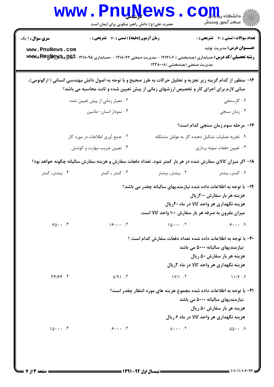|                                                                                                                                                                            |                                           | حضرت علی(ع): دانش راهبر نیکویی برای ایمان است                                           |                                                                                                            |  |
|----------------------------------------------------------------------------------------------------------------------------------------------------------------------------|-------------------------------------------|-----------------------------------------------------------------------------------------|------------------------------------------------------------------------------------------------------------|--|
| <b>سری سوال : ۱ یک</b><br>www.PnuNews.com<br><b>رشته تحصیلی/کد درس:</b> حسابداری (چندبخشی ) ۱۲۱۴۱۰۶ - ،مدیریت صنعتی ۱۲۱۸۰۷۲ - ،حسابداری ۱۲۱۸۰۹۵ <b>-ABL میآیادیا wzwrw</b> | زمان آزمون (دقیقه) : تستی : 70 گشریحی : 0 | ،مدیریت صنعتی (چندبخشی )۱۲۳۸۰۰۸                                                         | <b>تعداد سوالات : تستي : 40 ٪ تشريحي : 0</b><br><b>عنـــوان درس:</b> مديريت توليد                          |  |
| ۱۶- منظور از کدام گزینه زیر تجزیه و تحلیل حرکات به طرز صحیح و با توجه به اصول دانش مهندسی انسانی ( ارگونومی)،                                                              |                                           | مبانی لازم برای اجرای کار و تخصیص ارزشهای زمانی از پیش تعیین شده و ثابت محاسبه می باشد؟ |                                                                                                            |  |
|                                                                                                                                                                            | ۰۲ معیار زمانی از پیش تعیین شده           |                                                                                         | ۰۱ کارسنجی                                                                                                 |  |
|                                                                                                                                                                            | ۰۴ نمودار انسان- ماشين                    |                                                                                         | ۰۳ زمان سنجي                                                                                               |  |
|                                                                                                                                                                            |                                           |                                                                                         | <b>۱۷</b> - مرحله سوم زمان سنجی کدام است؟                                                                  |  |
|                                                                                                                                                                            | ۰۲ جمع آوری اطلاعات در مورد کار           | ٠١ تجزيه عمليات تشكيل دهنده كار به عوامل متشكله                                         |                                                                                                            |  |
|                                                                                                                                                                            | ۰۴ تعیین ضریب مهارت و کوشش                |                                                                                         | ۰۳ تعيين دفعات نمونه برداري                                                                                |  |
| ۱۸– اگر میزان کالای سفارش شده در هر بار کمتر شود، تعداد دفعات سفارش و هزینه سفارش سالیانه چگونه خواهد بود؟                                                                 |                                           |                                                                                         |                                                                                                            |  |
| ۰۴ بیشتر۔ کمتر                                                                                                                                                             | ۰۳ کمتر ـ کمتر                            | ۰۲ بیشتر۔بیشتر                                                                          | ۰۱ کمتر۔ بیشتر                                                                                             |  |
|                                                                                                                                                                            |                                           | ۱۹- با توجه به اطلاعات داده شده نیازمندیهای سالیانه چقدر می باشد؟                       |                                                                                                            |  |
|                                                                                                                                                                            |                                           |                                                                                         | هزینه هر بار سفارش ۲۰۰ریال                                                                                 |  |
|                                                                                                                                                                            |                                           |                                                                                         | هزینه نگهداری هر واحد کالا در ماه ۲۰ریال                                                                   |  |
|                                                                                                                                                                            |                                           | میزان مقرون به صرفه هر بار سفارش ۱۰۰ واحد کالا است.                                     |                                                                                                            |  |
| $90 \cdot \cdot \cdot$                                                                                                                                                     | 15                                        | $10$ $5$                                                                                | $9 \cdots$                                                                                                 |  |
|                                                                                                                                                                            |                                           | <b>30- با توجه به اطلاعات داده شده تعداد دفعات سفارش کدام است</b> ؟                     |                                                                                                            |  |
|                                                                                                                                                                            |                                           |                                                                                         | نیازمندیهای سالیانه ۵۰۰۰ می باشد                                                                           |  |
|                                                                                                                                                                            |                                           |                                                                                         | هزینه هر بار سفارش ۵۰ ریال                                                                                 |  |
|                                                                                                                                                                            |                                           |                                                                                         | هزینه نگهداری هر واحد کالا در ماه ۲ریال                                                                    |  |
| $\uparrow \uparrow / \uparrow \uparrow$ . $\uparrow$                                                                                                                       | $\lambda$ /9) $\cdot$ $\cdot$             | $\frac{1}{\sqrt{1}}$                                                                    | 11/Y.1                                                                                                     |  |
|                                                                                                                                                                            |                                           | <b>۲۱</b> - با توجه به اطلاعات داده شده مجموع هزینه های مورد انتظار چقدر است؟           | نیازمندیهای سالیانه ۵۰۰۰ می باشد<br>هزینه هر بار سفارش ۵۰ ریال<br>هزینه نگهداری هر واحد کالا در ماه ۶ ریال |  |
| 10                                                                                                                                                                         | $9 \cdots$ $5$                            | $\lambda \cdot \cdot \cdot \cdot \cdot \cdot \cdot \cdot \cdot$                         | $\Delta\Delta\cdots$ .                                                                                     |  |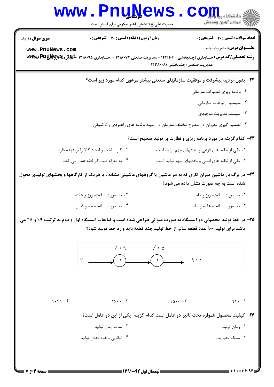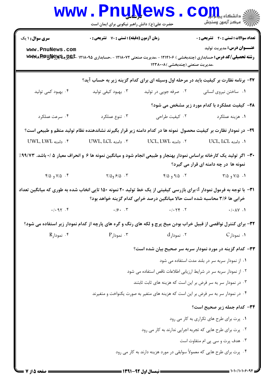|                                                                                                                         | <b>www.PnuNews</b><br>حضرت علی(ع): دانش راهبر نیکویی برای ایمان است                                              |                                                                                   | $\mathbf{C}\mathbf{O}$ $\mathbf{L}\mathbf{L}$ $\mathbf{L}$ $\mathbf{L}$ $\mathbf{L}\mathbf{S}$<br><i>الآ</i> " مرڪز آزمون وسنڊش                                   |  |  |
|-------------------------------------------------------------------------------------------------------------------------|------------------------------------------------------------------------------------------------------------------|-----------------------------------------------------------------------------------|-------------------------------------------------------------------------------------------------------------------------------------------------------------------|--|--|
| <b>سری سوال : ۱ یک</b>                                                                                                  | زمان آزمون (دقیقه) : تستی : 70 گشریحی : 0                                                                        |                                                                                   | <b>تعداد سوالات : تستي : 40 - تشريحي : 0</b>                                                                                                                      |  |  |
| www.PnuNews.com                                                                                                         |                                                                                                                  | ،مدیریت صنعتی (چندبخشی )۱۲۳۸۰۰۸                                                   | <b>عنـــوان درس:</b> مدیریت تولید<br><b>رشته تحصیلی/کد درس:</b> حسابداری (چندبخشی ) ۱۲۱۴۱۰۶ - ،مدیریت صنعتی ۱۲۱۸۰۷۲ - ،حسابداری ۱۲۱۸۰۹۵ ـ <b>BEX و WWMA RRUNG</b> |  |  |
|                                                                                                                         |                                                                                                                  |                                                                                   | ۲۷- برنامه نظارت بر کیفیت باید در مرحله اول وسیله ای برای کدام گزینه زیر به حساب آید؟                                                                             |  |  |
| ۰۴ بهبود کمی تولید                                                                                                      | ۰۳ بهبود کیفی تولید                                                                                              | ۰۲ صرفه جویی در تولید                                                             | ۰۱ ساختن نیروی انسانی                                                                                                                                             |  |  |
|                                                                                                                         |                                                                                                                  |                                                                                   | <b>۳۸</b> - کیفیت عملکرد با کدام مورد زیر مشخص می شود؟                                                                                                            |  |  |
| ۰۴ سرعت عملکرد                                                                                                          | ۰۳ تنوع عملکرد                                                                                                   | ۰۲ کیفیت طراحی                                                                    | ٠١ هزينه عملكرد                                                                                                                                                   |  |  |
|                                                                                                                         |                                                                                                                  |                                                                                   | ۲۹– در نمودار نظارت بر کیفیت محصول نمونه ها در کدام دامنه زیر قرار بگیرند نشاندهنده نظام تولید منظم و طبیعی است؟                                                  |  |  |
| UWL. LWL دامنه                                                                                                          | ۰۳ دامنه UWL، LCL .                                                                                              | ۰۲ دامنه UCL، LWL ۱۰                                                              | 1. دامنه UCL، LCL .                                                                                                                                               |  |  |
| ۳۰– اگر تولید یک کارخانه براساس نمودار بهنجار و طبیعی انجام شود و میانگین نمونه ها ۶ و انحراف معیار ۵ /۰ باشد. ۹۹/۷۳٪   |                                                                                                                  |                                                                                   | نمونه ها در چه دامنه ای قرار می گیرد؟                                                                                                                             |  |  |
| ۴/۵ و ۴/۵ $\sim$                                                                                                        | $Y/\Delta$ و ۶/۵ $Y$                                                                                             | ۲. ۹/۵ و ۴/۵                                                                      | ۰۱. ۷/۵ و ۳/۵                                                                                                                                                     |  |  |
| ۳۱−  با توجه به فرمول نمودار $d$ برای بازرسی کیفیتی از یک خط تولید ۲۰ نمونه ۱۵۰ تایی انخاب شده به طوری که میانگین تعداد |                                                                                                                  | خرابی ها ۳/۶ محاسبه شده است حالا میانگین درصد خرابی کدام گزینه خواهد بود؟         |                                                                                                                                                                   |  |  |
| .1.91.9                                                                                                                 | .19.1                                                                                                            | $.7 - 79$                                                                         | $\cdot/\cdot \wedge \vee \cdot \wedge$                                                                                                                            |  |  |
|                                                                                                                         | 33- برای کنترل نواقصی از قبیل خراب بودن میخ پرچ و لکه های رنگ و گره های پارچه از کدام نمودار زیر استفاده می شود؟ |                                                                                   |                                                                                                                                                                   |  |  |
| ۰۴ نمودارR                                                                                                              | $P$ ۰۳ نمودار $\cdot$ ۳                                                                                          | ۰۲ نمودارd                                                                        | ۰۱ نمودار C                                                                                                                                                       |  |  |
|                                                                                                                         |                                                                                                                  |                                                                                   | ۳۳- کدام گزینه در مورد نمودار سربه سر صحیح بیان شده است؟                                                                                                          |  |  |
|                                                                                                                         |                                                                                                                  |                                                                                   | ۰۱ از نمودار سربه سر در بلند مدت استفاده می شود                                                                                                                   |  |  |
|                                                                                                                         | ۰۲ از نمودار سربه سر در شرایط ارزیابی اطلاعات ناقص استفاده می شود                                                |                                                                                   |                                                                                                                                                                   |  |  |
|                                                                                                                         | ۰۳ در نمودار سر به سر فرض بر این است که هزینه های ثابت ثابتند                                                    |                                                                                   |                                                                                                                                                                   |  |  |
|                                                                                                                         |                                                                                                                  | ۰۴ در نمودار سر به سر فرض بر این است که هزینه های متغیر به صورت یکنواخت و متغیرند |                                                                                                                                                                   |  |  |
|                                                                                                                         | ۳۴- کدام جمله زیر صحیح است؟                                                                                      |                                                                                   |                                                                                                                                                                   |  |  |
|                                                                                                                         |                                                                                                                  |                                                                                   | ٠١. پرت برای طرح های تکراری به کار می رود                                                                                                                         |  |  |
|                                                                                                                         |                                                                                                                  |                                                                                   | ۰۲ پرت برای طرح هایی که تجربه اجرایی ندارند به کار می رود                                                                                                         |  |  |
|                                                                                                                         |                                                                                                                  |                                                                                   | ۰۳ هدف پرت و سی پی ام متفاوت است                                                                                                                                  |  |  |
|                                                                                                                         |                                                                                                                  | ۰۴ پرت برای طرح هایی که معمولاً سوابقی در مورد هزینه دارند به کار می رود          |                                                                                                                                                                   |  |  |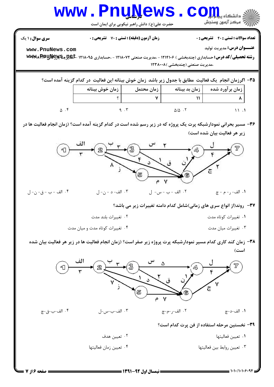

**: صفحه ۱۶ ز 7 =**